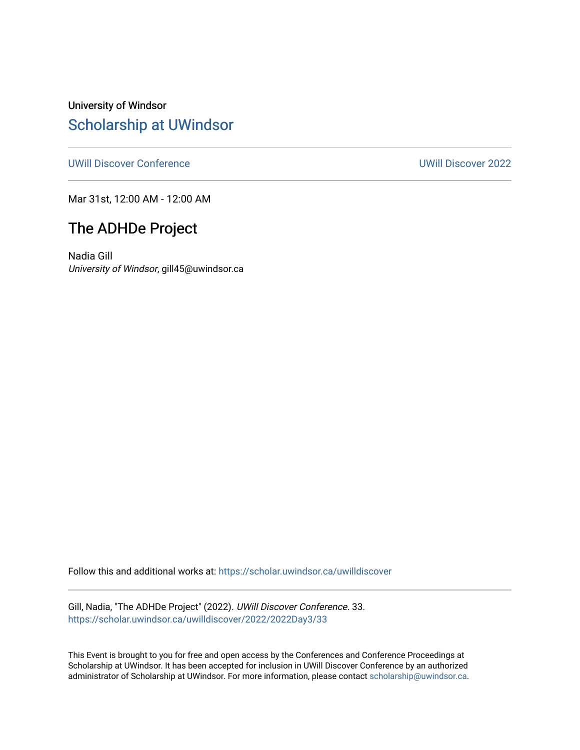University of Windsor [Scholarship at UWindsor](https://scholar.uwindsor.ca/) 

[UWill Discover Conference](https://scholar.uwindsor.ca/uwilldiscover) [UWill Discover 2022](https://scholar.uwindsor.ca/uwilldiscover/2022) 

Mar 31st, 12:00 AM - 12:00 AM

#### The ADHDe Project

Nadia Gill University of Windsor, gill45@uwindsor.ca

Follow this and additional works at: [https://scholar.uwindsor.ca/uwilldiscover](https://scholar.uwindsor.ca/uwilldiscover?utm_source=scholar.uwindsor.ca%2Fuwilldiscover%2F2022%2F2022Day3%2F33&utm_medium=PDF&utm_campaign=PDFCoverPages) 

Gill, Nadia, "The ADHDe Project" (2022). UWill Discover Conference. 33. [https://scholar.uwindsor.ca/uwilldiscover/2022/2022Day3/33](https://scholar.uwindsor.ca/uwilldiscover/2022/2022Day3/33?utm_source=scholar.uwindsor.ca%2Fuwilldiscover%2F2022%2F2022Day3%2F33&utm_medium=PDF&utm_campaign=PDFCoverPages) 

This Event is brought to you for free and open access by the Conferences and Conference Proceedings at Scholarship at UWindsor. It has been accepted for inclusion in UWill Discover Conference by an authorized administrator of Scholarship at UWindsor. For more information, please contact [scholarship@uwindsor.ca](mailto:scholarship@uwindsor.ca).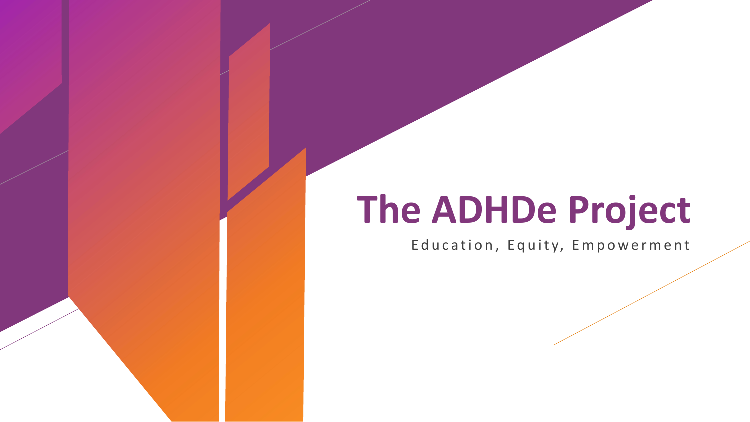# **The ADHDe Project**

Education, Equity, Empowerment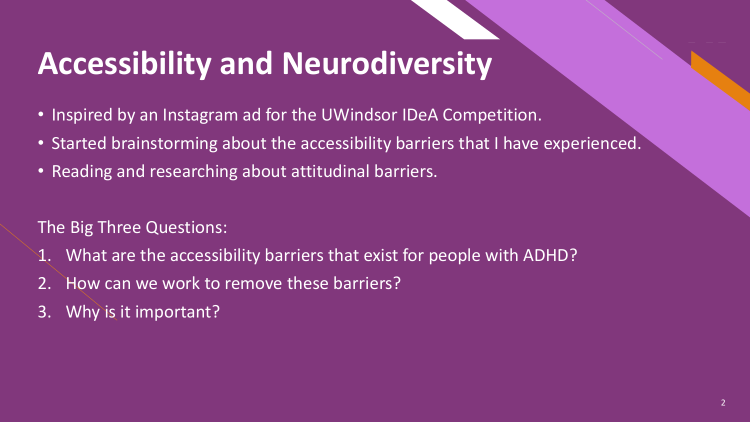### **Accessibility and Neurodiversity**

- Inspired by an Instagram ad for the UWindsor IDeA Competition.
- Started brainstorming about the accessibility barriers that I have experienced.
- Reading and researching about attitudinal barriers.

The Big Three Questions:

- What are the accessibility barriers that exist for people with ADHD?
- 2. How can we work to remove these barriers?
- 3. Why is it important?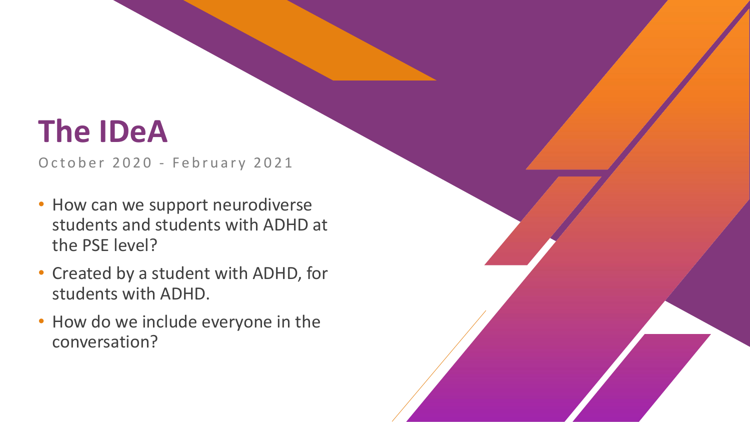#### **The IDeA**

October 2020 - February 2021

- How can we support neurodiverse students and students with ADHD at the PSE level?
- Created by a student with ADHD, for students with ADHD.
- How do we include everyone in the conversation?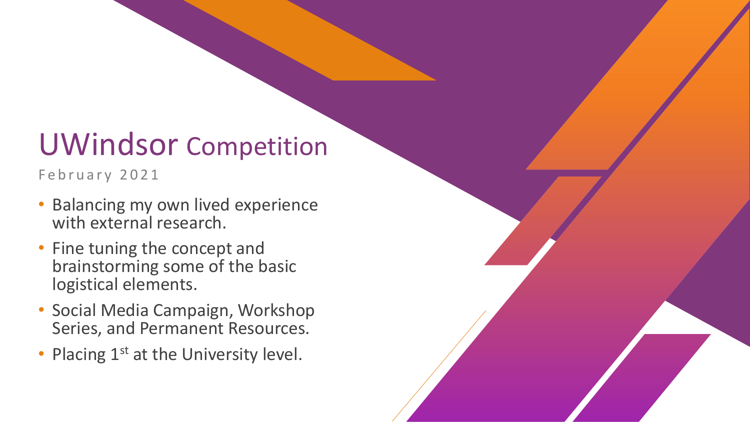#### UWindsor Competition

February 2021

- Balancing my own lived experience with external research .
- Fine tuning the concept and brainstorming some of the basic logistical elements.
- Social Media Campaign, Workshop Series, and Permanent Resources.
- Placing 1<sup>st</sup> at the University level.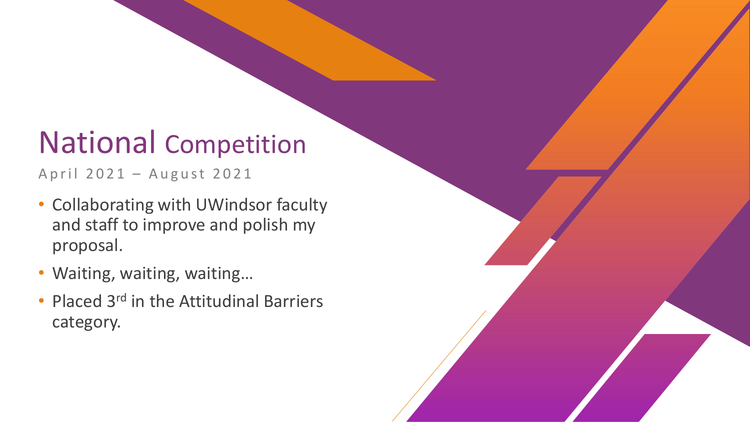#### National Competition

April 2021 – August 2021

- Collaborating with UWindsor faculty and staff to improve and polish my proposal .
- Waiting, waiting, waiting…
- Placed 3<sup>rd</sup> in the Attitudinal Barriers category.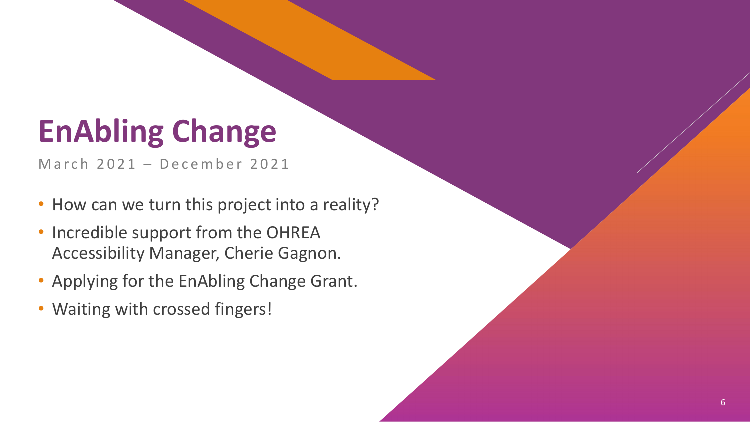#### **EnAbling Change**

March 2021 - December 2021

- How can we turn this project into a reality?
- Incredible support from the OHREA Accessibility Manager, Cherie Gagnon.
- Applying for the EnAbling Change Grant.
- Waiting with crossed fingers!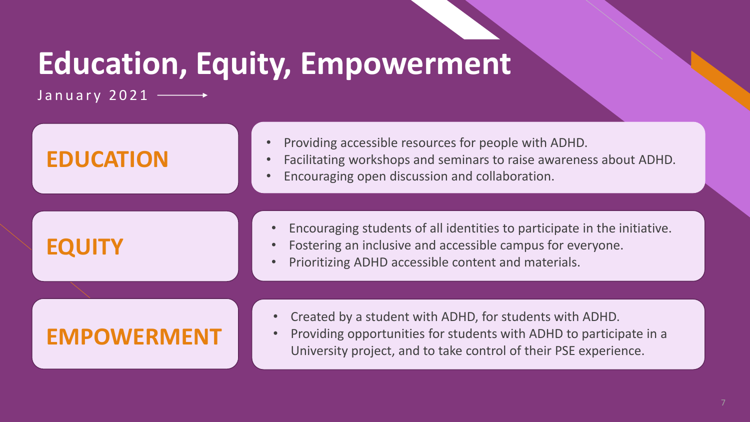## **Education, Equity, Empowerment**

January 2021  $\longrightarrow$ 

| <b>EDUCATION</b>   | Providing accessible resources for people with ADHD.<br>Facilitating workshops and seminars to raise awareness about ADHD.<br>Encouraging open discussion and collaboration.                      |
|--------------------|---------------------------------------------------------------------------------------------------------------------------------------------------------------------------------------------------|
|                    |                                                                                                                                                                                                   |
| <b>EQUITY</b>      | Encouraging students of all identities to participate in the initiative.<br>Fostering an inclusive and accessible campus for everyone.<br>Prioritizing ADHD accessible content and materials.     |
|                    |                                                                                                                                                                                                   |
| <b>EMPOWERMENT</b> | Created by a student with ADHD, for students with ADHD.<br>Providing opportunities for students with ADHD to participate in a<br>University project, and to take control of their PSE experience. |